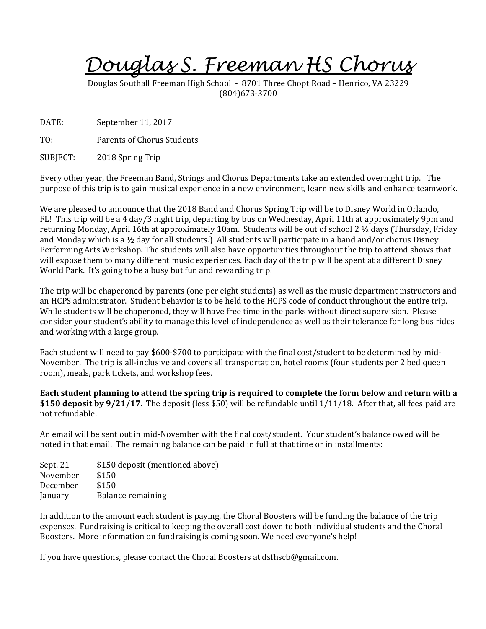*Douglas S. Freeman HS Chorus*

Douglas Southall Freeman High School - 8701 Three Chopt Road – Henrico, VA 23229 (804)673-3700

DATE: September 11, 2017

TO: Parents of Chorus Students

SUBJECT: 2018 Spring Trip

Every other year, the Freeman Band, Strings and Chorus Departments take an extended overnight trip. The purpose of this trip is to gain musical experience in a new environment, learn new skills and enhance teamwork.

We are pleased to announce that the 2018 Band and Chorus Spring Trip will be to Disney World in Orlando, FL! This trip will be a 4 day/3 night trip, departing by bus on Wednesday, April 11th at approximately 9pm and returning Monday, April 16th at approximately 10am. Students will be out of school 2 ½ days (Thursday, Friday and Monday which is a  $\frac{1}{2}$  day for all students.) All students will participate in a band and/or chorus Disney Performing Arts Workshop. The students will also have opportunities throughout the trip to attend shows that will expose them to many different music experiences. Each day of the trip will be spent at a different Disney World Park. It's going to be a busy but fun and rewarding trip!

The trip will be chaperoned by parents (one per eight students) as well as the music department instructors and an HCPS administrator. Student behavior is to be held to the HCPS code of conduct throughout the entire trip. While students will be chaperoned, they will have free time in the parks without direct supervision. Please consider your student's ability to manage this level of independence as well as their tolerance for long bus rides and working with a large group.

Each student will need to pay \$600-\$700 to participate with the final cost/student to be determined by mid-November. The trip is all-inclusive and covers all transportation, hotel rooms (four students per 2 bed queen room), meals, park tickets, and workshop fees.

**Each student planning to attend the spring trip is required to complete the form below and return with a \$150 deposit by 9/21/17**. The deposit (less \$50) will be refundable until 1/11/18. After that, all fees paid are not refundable.

An email will be sent out in mid-November with the final cost/student. Your student's balance owed will be noted in that email. The remaining balance can be paid in full at that time or in installments:

Sept. 21 \$150 deposit (mentioned above) November \$150 December \$150 January Balance remaining

In addition to the amount each student is paying, the Choral Boosters will be funding the balance of the trip expenses. Fundraising is critical to keeping the overall cost down to both individual students and the Choral Boosters. More information on fundraising is coming soon. We need everyone's help!

If you have questions, please contact the Choral Boosters at dsfhscb@gmail.com.